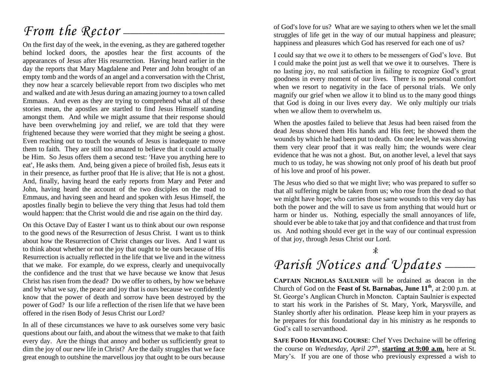## *From the Rector* --------------------------------------------------------------------------

On the first day of the week, in the evening, as they are gathered together behind locked doors, the apostles hear the first accounts of the appearances of Jesus after His resurrection. Having heard earlier in the day the reports that Mary Magdalene and Peter and John brought of an empty tomb and the words of an angel and a conversation with the Christ, they now hear a scarcely believable report from two disciples who met and walked and ate with Jesus during an amazing journey to a town called Emmaus. And even as they are trying to comprehend what all of these stories mean, the apostles are startled to find Jesus Himself standing amongst them. And while we might assume that their response should have been overwhelming joy and relief, we are told that they were frightened because they were worried that they might be seeing a ghost. Even reaching out to touch the wounds of Jesus is inadequate to move them to faith. They are still too amazed to believe that it could actually be Him. So Jesus offers them a second test: 'Have you anything here to eat', He asks them. And, being given a piece of broiled fish, Jesus eats it in their presence, as further proof that He is alive; that He is not a ghost. And, finally, having heard the early reports from Mary and Peter and John, having heard the account of the two disciples on the road to Emmaus, and having seen and heard and spoken with Jesus Himself, the apostles finally begin to believe the very thing that Jesus had told them would happen: that the Christ would die and rise again on the third day.

On this Octave Day of Easter I want us to think about our own response to the good news of the Resurrection of Jesus Christ. I want us to think about how the Resurrection of Christ changes our lives. And I want us to think about whether or not the joy that ought to be ours because of His Resurrection is actually reflected in the life that we live and in the witness that we make. For example, do we express, clearly and unequivocally the confidence and the trust that we have because we know that Jesus Christ has risen from the dead? Do we offer to others, by how we behave and by what we say, the peace and joy that is ours because we confidently know that the power of death and sorrow have been destroyed by the power of God? Is our life a reflection of the risen life that we have been offered in the risen Body of Jesus Christ our Lord?

In all of these circumstances we have to ask ourselves some very basic questions about our faith, and about the witness that we make to that faith every day. Are the things that annoy and bother us sufficiently great to dim the joy of our new life in Christ? Are the daily struggles that we face great enough to outshine the marvellous joy that ought to be ours because of God's love for us? What are we saying to others when we let the small struggles of life get in the way of our mutual happiness and pleasure; happiness and pleasures which God has reserved for each one of us?

I could say that we owe it to others to be messengers of God's love. But I could make the point just as well that we owe it to ourselves. There is no lasting joy, no real satisfaction in failing to recognize God's great goodness in every moment of our lives. There is no personal comfort when we resort to negativity in the face of personal trials. We only magnify our grief when we allow it to blind us to the many good things that God is doing in our lives every day. We only multiply our trials when we allow them to overwhelm us.

When the apostles failed to believe that Jesus had been raised from the dead Jesus showed them His hands and His feet; he showed them the wounds by which he had been put to death. On one level, he was showing them very clear proof that it was really him; the wounds were clear evidence that he was not a ghost. But, on another level, a level that says much to us today, he was showing not only proof of his death but proof of his love and proof of his power.

The Jesus who died so that we might live; who was prepared to suffer so that all suffering might be taken from us; who rose from the dead so that we might have hope; who carries those same wounds to this very day has both the power and the will to save us from anything that would hurt or harm or hinder us. Nothing, especially the small annoyances of life, should ever be able to take that joy and that confidence and that trust from us. And nothing should ever get in the way of our continual expression of that joy, through Jesus Christ our Lord.

 $\overline{\mathbf{x}}$ 

# Parish Notices and Updates \_\_\_\_\_

**CAPTAIN NICHOLAS SAULNIER** will be ordained as deacon in the Church of God on the **Feast of St. Barnabas, June 11th**, at 2:00 p.m. at St. George's Anglican Church in Moncton. Captain Saulnier is expected to start his work in the Parishes of St. Mary, York, Marysville, and Stanley shortly after his ordination. Please keep him in your prayers as he prepares for this foundational day in his ministry as he responds to God's call to servanthood.

**SAFE FOOD HANDLING COURSE**: Chef Yves Dechaine will be offering the course on *Wednesday, April 27th* , **starting at 9:00 a.m.** here at St. Mary's. If you are one of those who previously expressed a wish to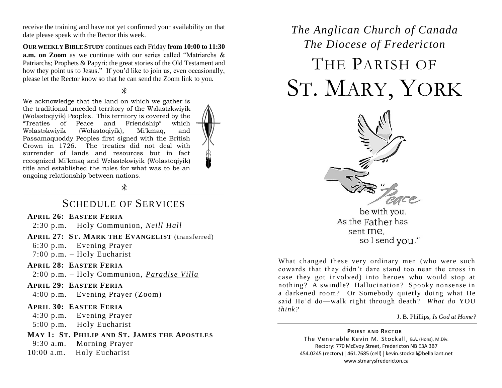receive the training and have not yet confirmed your availability on that date please speak with the Rector this week.

**OUR WEEKLY BIBLE STUDY** continues each Friday **from 10:00 to 11:30 a.m. on Zoom** as we continue with our series called "Matriarchs & Patriarchs; Prophets & Papyri: the great stories of the Old Testament and how they point us to Jesus." If you'd like to join us, even occasionally, please let the Rector know so that he can send the Zoom link to you.

We acknowledge that the land on which we gather is the traditional unceded territory of the Wəlastəkwiyik (Wolastoqiyik) Peoples. This territory is covered by the "Treaties of Peace and Friendship" which Wəlastəkwiyik (Wolastoqiyik), Mi'kmaq, and Passamaquoddy Peoples first signed with the British Crown in 1726. The treaties did not deal with surrender of lands and resources but in fact recognized Mi'kmaq and Wəlastəkwiyik (Wolastoqiyik) title and established the rules for what was to be an ongoing relationship between nations.

 $\ast$ 

### SCHEDULE OF SERVICES

#### **APRIL 26: EASTER FERIA**

2:30 p.m. – Holy Communion, *Neill Hall*

**APRIL 27: ST. MARK THE EVANGELIST** (transferred) 6:30 p.m. – Evening Prayer

7:00 p.m. – Holy Eucharist

**APRIL 28: EASTER FERIA**

2:00 p.m. – Holy Communion, *Paradise Villa*

**APRIL 29: EASTER FERIA** 4:00 p.m. – Evening Prayer (Zoom)

**APRIL 30: EASTER FERIA** 4:30 p.m. – Evening Prayer 5:00 p.m. – Holy Eucharist

**MAY 1: ST. PHILIP AND ST. JAMES THE APOSTLES** 9:30 a.m. – Morning Prayer 10:00 a.m. – Holy Eucharist

# *The Anglican Church of Canada The Diocese of Fredericton* THE PARISH OF ST. MARY, YORK



What changed these very ordinary men (who were such cowards that they didn't dare stand too near the cross in case they got involved) into heroes who would stop at nothing? A swindle? Hallucination? Spooky nonsense in a darkened room? Or Somebody quietly doing what He said He'd do—walk right through death? *What do* YOU *think?* 

J. B. Phillips, *Is God at Home?*

#### **PRIEST AND RECTOR**

The Venerable Kevin M. Stockall, B.A. (Hons), M.Div. Rectory: 770 McEvoy Street, Fredericton NB E3A 3B7 454.0245 (rectory) | 461.7685 (cell) | kevin.stockall@bellaliant.net www.stmarysfredericton.ca